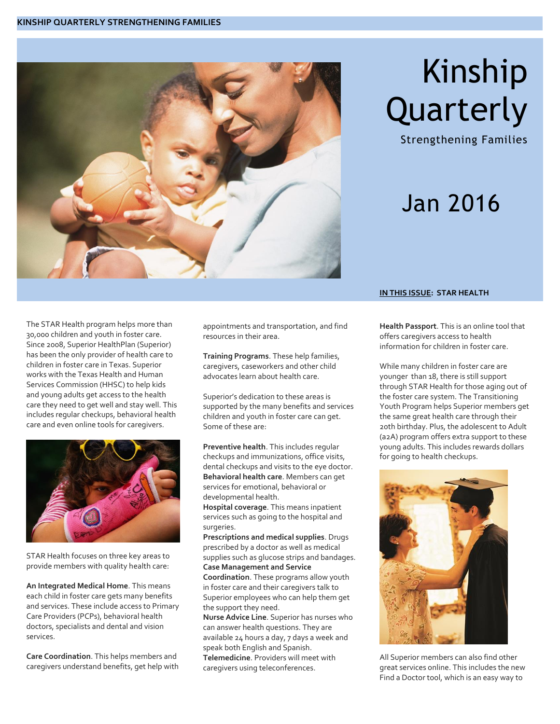

# Kinship Quarterly

Strengthening Families

### Jan 2016

#### The STAR Health program helps more than 30,000 children and youth in foster care. Since 2008, Superior HealthPlan (Superior) has been the only provider of health care to children in foster care in Texas. Superior works with the Texas Health and Human Services Commission (HHSC) to help kids and young adults get access to the health care they need to get well and stay well. This includes regular checkups, behavioral health care and even online tools for caregivers.



STAR Health focuses on three key areas to provide members with quality health care:

**An Integrated Medical Home**. This means each child in foster care gets many benefits and services. These include access to Primary Care Providers (PCPs), behavioral health doctors, specialists and dental and vision services.

**Care Coordination**. This helps members and caregivers understand benefits, get help with appointments and transportation, and find resources in their area.

**Training Programs**. These help families, caregivers, caseworkers and other child advocates learn about health care.

Superior's dedication to these areas is supported by the many benefits and services children and youth in foster care can get. Some of these are:

**Preventive health**. This includes regular checkups and immunizations, office visits, dental checkups and visits to the eye doctor. **Behavioral health care**. Members can get services for emotional, behavioral or developmental health.

**Hospital coverage**. This means inpatient services such as going to the hospital and surgeries.

**Prescriptions and medical supplies**. Drugs prescribed by a doctor as well as medical supplies such as glucose strips and bandages. **Case Management and Service** 

**Coordination**. These programs allow youth in foster care and their caregivers talk to Superior employees who can help them get the support they need.

**Nurse Advice Line**. Superior has nurses who can answer health questions. They are available 24 hours a day, 7 days a week and speak both English and Spanish. **Telemedicine**. Providers will meet with caregivers using teleconferences.

#### **IN THIS ISSUE: STAR HEALTH**

**Health Passport**. This is an online tool that offers caregivers access to health information for children in foster care.

While many children in foster care are younger than 18, there is still support through STAR Health for those aging out of the foster care system. The Transitioning Youth Program helps Superior members get the same great health care through their 20th birthday. Plus, the adolescent to Adult (a2A) program offers extra support to these young adults. This includes rewards dollars for going to health checkups.



All Superior members can also find other great services online. This includes the new Find a Doctor tool, which is an easy way to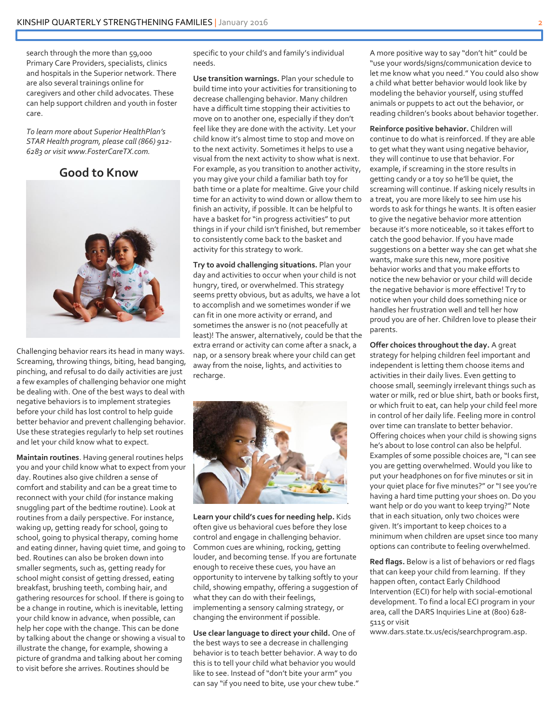search through the more than 59,000 Primary Care Providers, specialists, clinics and hospitals in the Superior network. There are also several trainings online for caregivers and other child advocates. These can help support children and youth in foster care.

*To learn more about Superior HealthPlan's STAR Health program, please call (866) 912- 6283 or visit www.FosterCareTX.com.*





Challenging behavior rears its head in many ways. Screaming, throwing things, biting, head banging, pinching, and refusal to do daily activities are just a few examples of challenging behavior one might be dealing with. One of the best ways to deal with negative behaviors is to implement strategies before your child has lost control to help guide better behavior and prevent challenging behavior. Use these strategies regularly to help set routines and let your child know what to expect.

**Maintain routines**. Having general routines helps you and your child know what to expect from your day. Routines also give children a sense of comfort and stability and can be a great time to reconnect with your child (for instance making snuggling part of the bedtime routine). Look at routines from a daily perspective. For instance, waking up, getting ready for school, going to school, going to physical therapy, coming home and eating dinner, having quiet time, and going to bed. Routines can also be broken down into smaller segments, such as, getting ready for school might consist of getting dressed, eating breakfast, brushing teeth, combing hair, and gathering resources for school. If there is going to be a change in routine, which is inevitable, letting your child know in advance, when possible, can help her cope with the change. This can be done by talking about the change or showing a visual to illustrate the change, for example, showing a picture of grandma and talking about her coming to visit before she arrives. Routines should be

specific to your child's and family's individual needs.

**Use transition warnings.** Plan your schedule to build time into your activities for transitioning to decrease challenging behavior. Many children have a difficult time stopping their activities to move on to another one, especially if they don't feel like they are done with the activity. Let your child know it's almost time to stop and move on to the next activity. Sometimes it helps to use a visual from the next activity to show what is next. For example, as you transition to another activity, you may give your child a familiar bath toy for bath time or a plate for mealtime. Give your child time for an activity to wind down or allow them to finish an activity, if possible. It can be helpful to have a basket for "in progress activities" to put things in if your child isn't finished, but remember to consistently come back to the basket and activity for this strategy to work.

**Try to avoid challenging situations.** Plan your day and activities to occur when your child is not hungry, tired, or overwhelmed. This strategy seems pretty obvious, but as adults, we have a lot to accomplish and we sometimes wonder if we can fit in one more activity or errand, and sometimes the answer is no (not peacefully at least)! The answer, alternatively, could be that the extra errand or activity can come after a snack, a nap, or a sensory break where your child can get away from the noise, lights, and activities to recharge.



**Learn your child's cues for needing help.** Kids often give us behavioral cues before they lose control and engage in challenging behavior. Common cues are whining, rocking, getting louder, and becoming tense. If you are fortunate enough to receive these cues, you have an opportunity to intervene by talking softly to your child, showing empathy, offering a suggestion of what they can do with their feelings, implementing a sensory calming strategy, or changing the environment if possible.

**Use clear language to direct your child.** One of the best ways to see a decrease in challenging behavior is to teach better behavior. A way to do this is to tell your child what behavior you would like to see. Instead of "don't bite your arm" you can say "if you need to bite, use your chew tube." A more positive way to say "don't hit" could be "use your words/signs/communication device to let me know what you need." You could also show a child what better behavior would look like by modeling the behavior yourself, using stuffed animals or puppets to act out the behavior, or reading children's books about behavior together.

**Reinforce positive behavior.** Children will continue to do what is reinforced. If they are able to get what they want using negative behavior, they will continue to use that behavior. For example, if screaming in the store results in getting candy or a toy so he'll be quiet, the screaming will continue. If asking nicely results in a treat, you are more likely to see him use his words to ask for things he wants. It is often easier to give the negative behavior more attention because it's more noticeable, so it takes effort to catch the good behavior. If you have made suggestions on a better way she can get what she wants, make sure this new, more positive behavior works and that you make efforts to notice the new behavior or your child will decide the negative behavior is more effective! Try to notice when your child does something nice or handles her frustration well and tell her how proud you are of her. Children love to please their parents.

**Offer choices throughout the day.** A great strategy for helping children feel important and independent is letting them choose items and activities in their daily lives. Even getting to choose small, seemingly irrelevant things such as water or milk, red or blue shirt, bath or books first, or which fruit to eat, can help your child feel more in control of her daily life. Feeling more in control over time can translate to better behavior. Offering choices when your child is showing signs he's about to lose control can also be helpful. Examples of some possible choices are, "I can see you are getting overwhelmed. Would you like to put your headphones on for five minutes or sit in your quiet place for five minutes?" or "I see you're having a hard time putting your shoes on. Do you want help or do you want to keep trying?" Note that in each situation, only two choices were given. It's important to keep choices to a minimum when children are upset since too many options can contribute to feeling overwhelmed.

**Red flags.** Below is a list of behaviors or red flags that can keep your child from learning. If they happen often, contact Early Childhood Intervention (ECI) for help with social-emotional development. To find a local ECI program in your area, call the DARS Inquiries Line at (800) 628- 5115 or visit

www.dars.state.tx.us/ecis/searchprogram.asp.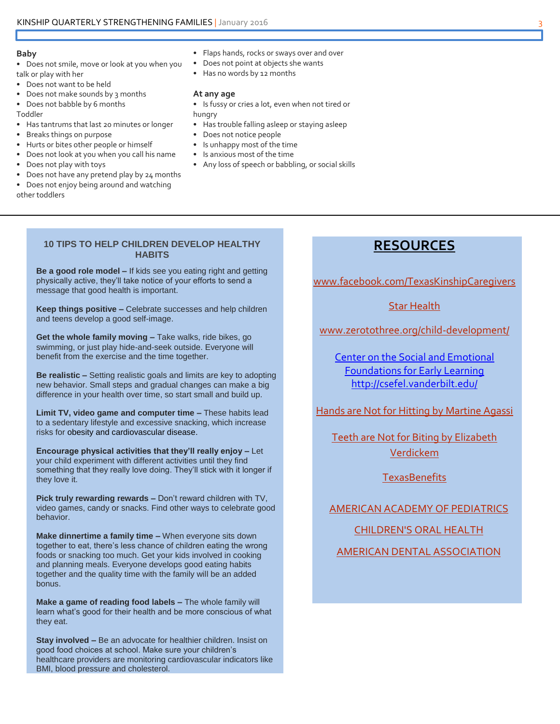#### **Baby**

- Does not smile, move or look at you when you talk or play with her
- Does not want to be held
- Does not make sounds by 3 months
- Does not babble by 6 months

Toddler

- Has tantrums that last 20 minutes or longer
- Breaks things on purpose
- Hurts or bites other people or himself
- Does not look at you when you call his name
- Does not play with toys
- Does not have any pretend play by 24 months
- Does not enjoy being around and watching other toddlers
- Flaps hands, rocks or sways over and over
- Does not point at objects she wants
- Has no words by 12 months

#### **At any age**

- Is fussy or cries a lot, even when not tired or hungry
- Has trouble falling asleep or staying asleep
- Does not notice people
- Is unhappy most of the time
- Is anxious most of the time
- Any loss of speech or babbling, or social skills

#### **10 TIPS TO HELP CHILDREN DEVELOP HEALTHY HABITS**

**Be a good role model –** If kids see you eating right and getting physically active, they'll take notice of your efforts to send a message that good health is important.

**Keep things positive –** Celebrate successes and help children and teens develop a good self-image.

**Get the whole family moving –** Take walks, ride bikes, go swimming, or just play hide-and-seek outside. Everyone will benefit from the exercise and the time together.

**Be realistic –** Setting realistic goals and limits are key to adopting new behavior. Small steps and gradual changes can make a big difference in your health over time, so start small and build up.

**Limit TV, video game and computer time –** These habits lead to a sedentary lifestyle and excessive snacking, which increase risks fo[r obesity](http://www.heart.org/HEARTORG/HealthyLiving/HealthyKids/ChildhoodObesity/What-is-childhood-obesity_UCM_304347_Article.jsp) and [cardiovascular disease.](http://www.heart.org/HEARTORG/Caregiver/Resources/WhatisCardiovascularDisease/What-is-Cardiovascular-Disease_UCM_301852_Article.jsp)

**Encourage physical activities that they'll really enjoy –** Let your child experiment with different activities until they find something that they really love doing. They'll stick with it longer if they love it.

**Pick truly rewarding rewards –** Don't reward children with TV, video games, candy or snacks. Find other ways to celebrate good behavior.

**Make dinnertime a family time -** When everyone sits down together to eat, there's less chance of children eating the wrong foods or snacking too much. Get your kids involved in cooking and planning meals. Everyone develops good eating habits together and the quality time with the family will be an added bonus.

**Make a game of reading food labels –** The whole family will learn what's good for their health and be more conscious of what they eat.

**Stay involved –** Be an advocate for healthier children. Insist on good food choices at school. Make sure your children's healthcare providers are monitoring cardiovascular indicators like BMI, blood pressure and cholesterol.

### **RESOURCES**

[www.facebook.com/TexasKinshipCaregivers](https://www.facebook.com/TexasKinshipCaregivers)

#### [Star Health](https://www.dfps.state.tx.us/Child_Protection/Medical_Services/guide-star.asp)

[www.zerotothree.org/child-development/](http://www.zerotothree.org/child-development/)

Center on the Social and Emotional Foundations for Early Learning <http://csefel.vanderbilt.edu/>

[Hands are Not for Hitting by Martine Agassi](http://www.freespirit.com/series/best-behavior/)

**Teeth are Not for Biting by Elizabeth** [Verdickem](http://www.freespirit.com/series/best-behavior/)

**[TexasBenefits](http://yourtexasbenefits.hhsc.texas.gov/)** 

#### [AMERICAN ACADEMY OF PEDIATRICS](https://www.healthychildren.org/English/Pages/default.aspx)

[CHILDREN'S ORAL HEALTH](http://www.cdc.gov/oralhealth/children_adults/child.htm)

[AMERICAN DENTAL ASSOCIATION](http://www.mouthhealthy.org/en/babies-and-kids/healthy-habits)